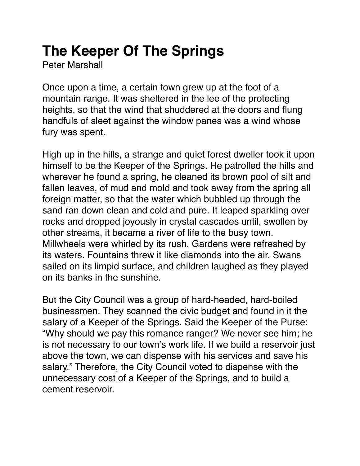## **The Keeper Of The Springs**

Peter Marshall

Once upon a time, a certain town grew up at the foot of a mountain range. It was sheltered in the lee of the protecting heights, so that the wind that shuddered at the doors and flung handfuls of sleet against the window panes was a wind whose fury was spent.

High up in the hills, a strange and quiet forest dweller took it upon himself to be the Keeper of the Springs. He patrolled the hills and wherever he found a spring, he cleaned its brown pool of silt and fallen leaves, of mud and mold and took away from the spring all foreign matter, so that the water which bubbled up through the sand ran down clean and cold and pure. It leaped sparkling over rocks and dropped joyously in crystal cascades until, swollen by other streams, it became a river of life to the busy town. Millwheels were whirled by its rush. Gardens were refreshed by its waters. Fountains threw it like diamonds into the air. Swans sailed on its limpid surface, and children laughed as they played on its banks in the sunshine.

But the City Council was a group of hard-headed, hard-boiled businessmen. They scanned the civic budget and found in it the salary of a Keeper of the Springs. Said the Keeper of the Purse: "Why should we pay this romance ranger? We never see him; he is not necessary to our town's work life. If we build a reservoir just above the town, we can dispense with his services and save his salary." Therefore, the City Council voted to dispense with the unnecessary cost of a Keeper of the Springs, and to build a cement reservoir.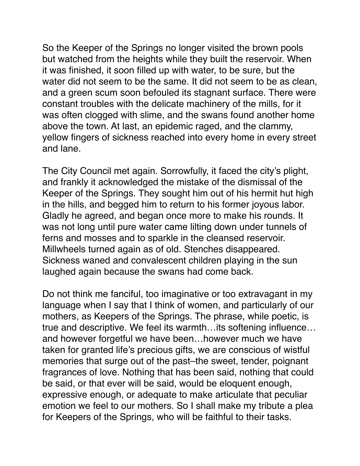So the Keeper of the Springs no longer visited the brown pools but watched from the heights while they built the reservoir. When it was finished, it soon filled up with water, to be sure, but the water did not seem to be the same. It did not seem to be as clean, and a green scum soon befouled its stagnant surface. There were constant troubles with the delicate machinery of the mills, for it was often clogged with slime, and the swans found another home above the town. At last, an epidemic raged, and the clammy, yellow fingers of sickness reached into every home in every street and lane.

The City Council met again. Sorrowfully, it faced the city's plight, and frankly it acknowledged the mistake of the dismissal of the Keeper of the Springs. They sought him out of his hermit hut high in the hills, and begged him to return to his former joyous labor. Gladly he agreed, and began once more to make his rounds. It was not long until pure water came lilting down under tunnels of ferns and mosses and to sparkle in the cleansed reservoir. Millwheels turned again as of old. Stenches disappeared. Sickness waned and convalescent children playing in the sun laughed again because the swans had come back.

Do not think me fanciful, too imaginative or too extravagant in my language when I say that I think of women, and particularly of our mothers, as Keepers of the Springs. The phrase, while poetic, is true and descriptive. We feel its warmth…its softening influence… and however forgetful we have been…however much we have taken for granted life's precious gifts, we are conscious of wistful memories that surge out of the past–the sweet, tender, poignant fragrances of love. Nothing that has been said, nothing that could be said, or that ever will be said, would be eloquent enough, expressive enough, or adequate to make articulate that peculiar emotion we feel to our mothers. So I shall make my tribute a plea for Keepers of the Springs, who will be faithful to their tasks.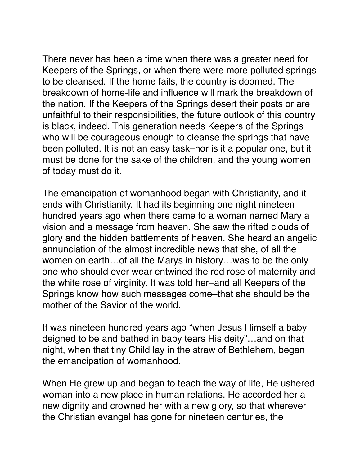There never has been a time when there was a greater need for Keepers of the Springs, or when there were more polluted springs to be cleansed. If the home fails, the country is doomed. The breakdown of home-life and influence will mark the breakdown of the nation. If the Keepers of the Springs desert their posts or are unfaithful to their responsibilities, the future outlook of this country is black, indeed. This generation needs Keepers of the Springs who will be courageous enough to cleanse the springs that have been polluted. It is not an easy task–nor is it a popular one, but it must be done for the sake of the children, and the young women of today must do it.

The emancipation of womanhood began with Christianity, and it ends with Christianity. It had its beginning one night nineteen hundred years ago when there came to a woman named Mary a vision and a message from heaven. She saw the rifted clouds of glory and the hidden battlements of heaven. She heard an angelic annunciation of the almost incredible news that she, of all the women on earth…of all the Marys in history…was to be the only one who should ever wear entwined the red rose of maternity and the white rose of virginity. It was told her–and all Keepers of the Springs know how such messages come–that she should be the mother of the Savior of the world.

It was nineteen hundred years ago "when Jesus Himself a baby deigned to be and bathed in baby tears His deity"…and on that night, when that tiny Child lay in the straw of Bethlehem, began the emancipation of womanhood.

When He grew up and began to teach the way of life, He ushered woman into a new place in human relations. He accorded her a new dignity and crowned her with a new glory, so that wherever the Christian evangel has gone for nineteen centuries, the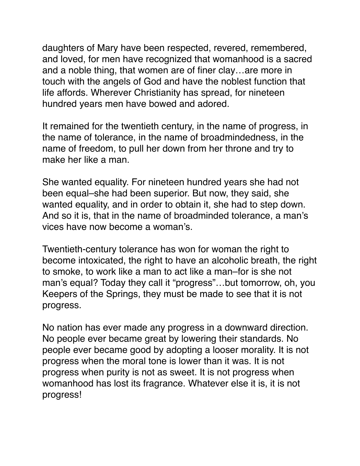daughters of Mary have been respected, revered, remembered, and loved, for men have recognized that womanhood is a sacred and a noble thing, that women are of finer clay…are more in touch with the angels of God and have the noblest function that life affords. Wherever Christianity has spread, for nineteen hundred years men have bowed and adored.

It remained for the twentieth century, in the name of progress, in the name of tolerance, in the name of broadmindedness, in the name of freedom, to pull her down from her throne and try to make her like a man.

She wanted equality. For nineteen hundred years she had not been equal–she had been superior. But now, they said, she wanted equality, and in order to obtain it, she had to step down. And so it is, that in the name of broadminded tolerance, a man's vices have now become a woman's.

Twentieth-century tolerance has won for woman the right to become intoxicated, the right to have an alcoholic breath, the right to smoke, to work like a man to act like a man–for is she not man's equal? Today they call it "progress"…but tomorrow, oh, you Keepers of the Springs, they must be made to see that it is not progress.

No nation has ever made any progress in a downward direction. No people ever became great by lowering their standards. No people ever became good by adopting a looser morality. It is not progress when the moral tone is lower than it was. It is not progress when purity is not as sweet. It is not progress when womanhood has lost its fragrance. Whatever else it is, it is not progress!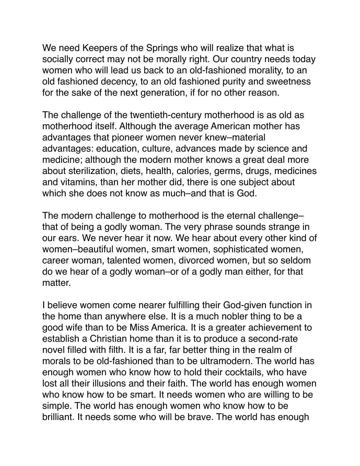We need Keepers of the Springs who will realize that what is socially correct may not be morally right. Our country needs today women who will lead us back to an old-fashioned morality, to an old fashioned decency, to an old fashioned purity and sweetness for the sake of the next generation, if for no other reason.

The challenge of the twentieth-century motherhood is as old as motherhood itself. Although the average American mother has advantages that pioneer women never knew–material advantages: education, culture, advances made by science and medicine; although the modern mother knows a great deal more about sterilization, diets, health, calories, germs, drugs, medicines and vitamins, than her mother did, there is one subject about which she does not know as much–and that is God.

The modern challenge to motherhood is the eternal challenge– that of being a godly woman. The very phrase sounds strange in our ears. We never hear it now. We hear about every other kind of women–beautiful women, smart women, sophisticated women, career woman, talented women, divorced women, but so seldom do we hear of a godly woman–or of a godly man either, for that matter.

I believe women come nearer fulfilling their God-given function in the home than anywhere else. It is a much nobler thing to be a good wife than to be Miss America. It is a greater achievement to establish a Christian home than it is to produce a second-rate novel filled with filth. It is a far, far better thing in the realm of morals to be old-fashioned than to be ultramodern. The world has enough women who know how to hold their cocktails, who have lost all their illusions and their faith. The world has enough women who know how to be smart. It needs women who are willing to be simple. The world has enough women who know how to be brilliant. It needs some who will be brave. The world has enough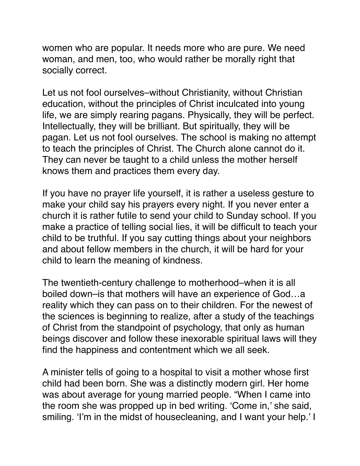women who are popular. It needs more who are pure. We need woman, and men, too, who would rather be morally right that socially correct.

Let us not fool ourselves–without Christianity, without Christian education, without the principles of Christ inculcated into young life, we are simply rearing pagans. Physically, they will be perfect. Intellectually, they will be brilliant. But spiritually, they will be pagan. Let us not fool ourselves. The school is making no attempt to teach the principles of Christ. The Church alone cannot do it. They can never be taught to a child unless the mother herself knows them and practices them every day.

If you have no prayer life yourself, it is rather a useless gesture to make your child say his prayers every night. If you never enter a church it is rather futile to send your child to Sunday school. If you make a practice of telling social lies, it will be difficult to teach your child to be truthful. If you say cutting things about your neighbors and about fellow members in the church, it will be hard for your child to learn the meaning of kindness.

The twentieth-century challenge to motherhood–when it is all boiled down–is that mothers will have an experience of God…a reality which they can pass on to their children. For the newest of the sciences is beginning to realize, after a study of the teachings of Christ from the standpoint of psychology, that only as human beings discover and follow these inexorable spiritual laws will they find the happiness and contentment which we all seek.

A minister tells of going to a hospital to visit a mother whose first child had been born. She was a distinctly modern girl. Her home was about average for young married people. "When I came into the room she was propped up in bed writing. 'Come in,' she said, smiling. 'I'm in the midst of housecleaning, and I want your help.' I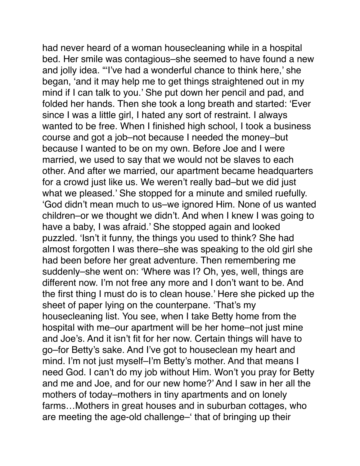had never heard of a woman housecleaning while in a hospital bed. Her smile was contagious–she seemed to have found a new and jolly idea. "'I've had a wonderful chance to think here,' she began, 'and it may help me to get things straightened out in my mind if I can talk to you.' She put down her pencil and pad, and folded her hands. Then she took a long breath and started: 'Ever since I was a little girl, I hated any sort of restraint. I always wanted to be free. When I finished high school, I took a business course and got a job–not because I needed the money–but because I wanted to be on my own. Before Joe and I were married, we used to say that we would not be slaves to each other. And after we married, our apartment became headquarters for a crowd just like us. We weren't really bad–but we did just what we pleased.' She stopped for a minute and smiled ruefully. 'God didn't mean much to us–we ignored Him. None of us wanted children–or we thought we didn't. And when I knew I was going to have a baby, I was afraid.' She stopped again and looked puzzled. 'Isn't it funny, the things you used to think? She had almost forgotten I was there–she was speaking to the old girl she had been before her great adventure. Then remembering me suddenly–she went on: 'Where was I? Oh, yes, well, things are different now. I'm not free any more and I don't want to be. And the first thing I must do is to clean house.' Here she picked up the sheet of paper lying on the counterpane. 'That's my housecleaning list. You see, when I take Betty home from the hospital with me–our apartment will be her home–not just mine and Joe's. And it isn't fit for her now. Certain things will have to go–for Betty's sake. And I've got to houseclean my heart and mind. I'm not just myself–I'm Betty's mother. And that means I need God. I can't do my job without Him. Won't you pray for Betty and me and Joe, and for our new home?' And I saw in her all the mothers of today–mothers in tiny apartments and on lonely farms…Mothers in great houses and in suburban cottages, who are meeting the age-old challenge–' that of bringing up their